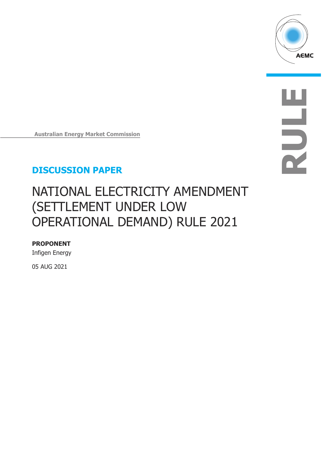

**RULE**

**Australian Energy Market Commission**

#### **DISCUSSION PAPER DISCUSSION PAPER**

# NATIONAL ELECTRICITY AMENDMENT (SETTLEMENT UNDER LOW OPERATIONAL DEMAND) RULE 2021

**PROPONENT** Infigen Energy

05 AUG 2021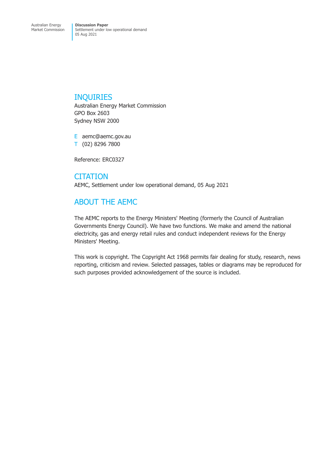#### INQUIRIES

Australian Energy Market Commission GPO Box 2603 Sydney NSW 2000

E aemc@aemc.gov.au T (02) 8296 7800

Reference: ERC0327

**CITATION** AEMC, Settlement under low operational demand, 05 Aug 2021

### ABOUT THE AEMC

The AEMC reports to the Energy Ministers' Meeting (formerly the Council of Australian Governments Energy Council). We have two functions. We make and amend the national electricity, gas and energy retail rules and conduct independent reviews for the Energy Ministers' Meeting.

This work is copyright. The Copyright Act 1968 permits fair dealing for study, research, news reporting, criticism and review. Selected passages, tables or diagrams may be reproduced for such purposes provided acknowledgement of the source is included.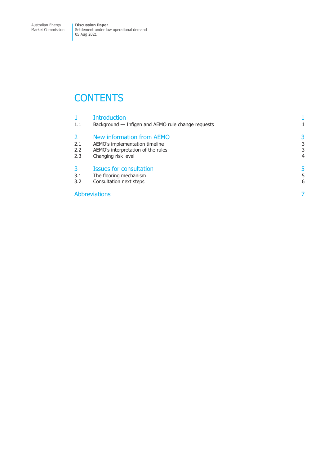Market Commission

Settlement under low operational demand 05 Aug 2021

### **CONTENTS**

|               | <b>Introduction</b>                                |   |
|---------------|----------------------------------------------------|---|
| $1.1\,$       | Background — Infigen and AEMO rule change requests |   |
| $\mathcal{L}$ | New information from AEMO                          | 3 |
| 2.1           | AEMO's implementation timeline                     | 3 |
| 2.2           | AEMO's interpretation of the rules                 | 3 |
| 2.3           | Changing risk level                                | 4 |
| 3             | <b>Issues for consultation</b>                     |   |
| 3.1           | The flooring mechanism                             | 5 |
| 3.2           | Consultation next steps                            | 6 |
|               | <b>Abbreviations</b>                               |   |
|               |                                                    |   |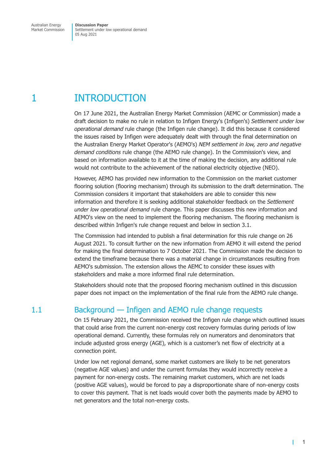<span id="page-3-0"></span>Market Commission

Settlement under low operational demand 05 Aug 2021

### 1 INTRODUCTION

On 17 June 2021, the Australian Energy Market Commission (AEMC or Commission) made a draft decision to make no rule in relation to Infigen Energy's (Infigen's) *Settlement under low operational demand* rule change (the Infigen rule change). It did this because it considered the issues raised by Infigen were adequately dealt with through the final determination on the Australian Energy Market Operator's (AEMO's) *NEM settlement in low, zero and negative demand conditions* rule change (the AEMO rule change). In the Commission's view, and based on information available to it at the time of making the decision, any additional rule would not contribute to the achievement of the national electricity objective (NEO).

However, AEMO has provided new information to the Commission on the market customer flooring solution (flooring mechanism) through its submission to the draft determination. The Commission considers it important that stakeholders are able to consider this new information and therefore it is seeking additional stakeholder feedback on the *Settlement under low operational demand* rule change. This paper discusses this new information and AEMO's view on the need to implement the flooring mechanism. The flooring mechanism is described within Infigen's rule change request and below in section 3.1.

The Commission had intended to publish a final determination for this rule change on 26 August 2021. To consult further on the new information from AEMO it will extend the period for making the final determination to 7 October 2021. The [Commission](#page-7-1) made the decision to extend the timeframe because there was a material change in circumstances resulting from AEMO's submission. The extension allows the AEMC to consider these issues with stakeholders and make a more informed final rule determination.

Stakeholders should note that the proposed flooring mechanism outlined in this discussion paper does not impact on the implementation of the final rule from the AEMO rule change.

#### 1.1 Background — Infigen and AEMO rule change requests

On 15 February 2021, the Commission received the Infigen rule change which outlined issues that could arise from the current non-energy cost recovery formulas during periods of low operational demand. Currently, these formulas rely on numerators and denominators that include adjusted gross energy (AGE), which is a customer's net flow of electricity at a connection point.

Under low net regional demand, some market customers are likely to be net generators (negative AGE values) and under the current formulas they would incorrectly receive a payment for non-energy costs. The remaining market customers, which are net loads (positive AGE values), would be forced to pay a disproportionate share of non-energy costs to cover this payment. That is net loads would cover both the payments made by AEMO to net generators and the total non-energy costs.

<span id="page-3-1"></span> $\mathbf{I}$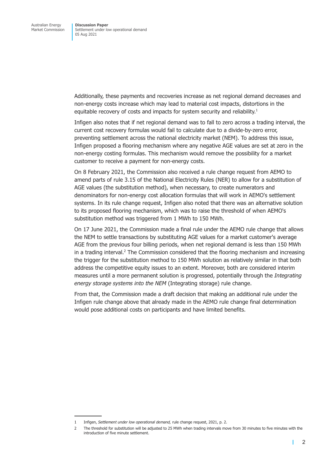Additionally, these payments and recoveries increase as net regional demand decreases and non-energy costs increase which may lead to material cost impacts, distortions in the equitable recovery of costs and impacts for system security and reliability.<sup>1</sup>

Infigen also notes that if net regional demand was to fall to zero across a trading interval, the current cost recovery formulas would fail to calculate due to a divide-by-zero error, preventing settlement across the national electricity market (NEM). To address this issue, Infigen proposed a flooring mechanism where any negative AGE values are set at zero in the non-energy costing formulas. This mechanism would remove the possibility for a market customer to receive a payment for non-energy costs.

On 8 February 2021, the Commission also received a rule change request from AEMO to amend parts of rule 3.15 of the National Electricity Rules (NER) to allow for a substitution of AGE values (the substitution method), when necessary, to create numerators and denominators for non-energy cost allocation formulas that will work in AEMO's settlement systems. In its rule change request, Infigen also noted that there was an alternative solution to its proposed flooring mechanism, which was to raise the threshold of when AEMO's substitution method was triggered from 1 MWh to 150 MWh.

On 17 June 2021, the Commission made a final rule under the AEMO rule change that allows the NEM to settle transactions by substituting AGE values for a market customer's average AGE from the previous four billing periods, when net regional demand is less than 150 MWh in a trading interval.<sup>2</sup> The Commission considered that the flooring mechanism and increasing the trigger for the substitution method to 150 MWh solution as relatively similar in that both address the competitive equity issues to an extent. Moreover, both are considered interim measures until a more permanent solution is progressed, potentially through the *Integrating energy storage systems into the NEM* (Integrating storage) rule change.

From that, the Commission made a draft decision that making an additional rule under the Infigen rule change above that already made in the AEMO rule change final determination would pose additional costs on participants and have limited benefits.

Г

<sup>1</sup> Infigen, *Settlement under low operational demand,* rule change request, 2021, p. 2.

<sup>2</sup> The threshold for substitution will be adjusted to 25 MWh when trading intervals move from 30 minutes to five minutes with the introduction of five minute settlement.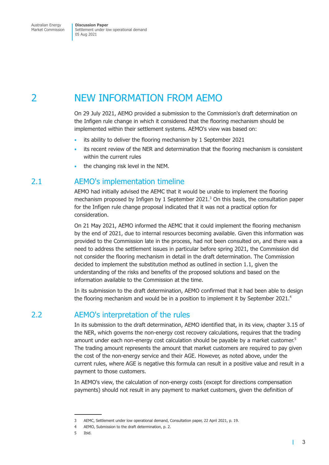<span id="page-5-0"></span>Market Commission

Settlement under low operational demand 05 Aug 2021

### 2 NEW INFORMATION FROM AEMO

On 29 July 2021, AEMO provided a submission to the Commission's draft determination on the Infigen rule change in which it considered that the flooring mechanism should be implemented within their settlement systems. AEMO's view was based on:

- its ability to deliver the flooring mechanism by 1 September 2021
- its recent review of the NER and determination that the flooring mechanism is consistent within the current rules
- the changing risk level in the NEM.

#### 2.1 AEMO's implementation timeline

AEMO had initially advised the AEMC that it would be unable to implement the flooring mechanism proposed by Infigen by 1 September 2021.<sup>3</sup> On this basis, the consultation paper for the Infigen rule change proposal indicated that it was not a practical option for consideration.

On 21 May 2021, AEMO informed the AEMC that it could implement the flooring mechanism by the end of 2021, due to internal resources becoming available. Given this information was provided to the Commission late in the process, had not been consulted on, and there was a need to address the settlement issues in particular before spring 2021, the Commission did not consider the flooring mechanism in detail in the draft determination. The Commission decided to implement the substitution method as outlined in section 1.1, given the understanding of the risks and benefits of the proposed solutions and based on the information available to the Commission at the time.

In its submission to the draft determination, AEMO confirme[d that it had](#page-3-1) been able to design the flooring mechanism and would be in a position to implement it by September 2021.<sup>4</sup>

#### 2.2 AEMO's interpretation of the rules

In its submission to the draft determination, AEMO identified that, in its view, chapter 3.15 of the NER, which governs the non-energy cost recovery calculations, requires that the trading amount under each non-energy cost calculation should be payable by a market customer.<sup>5</sup> The trading amount represents the amount that market customers are required to pay given the cost of the non-energy service and their AGE. However, as noted above, under the current rules, where AGE is negative this formula can result in a positive value and result in a payment to those customers.

In AEMO's view, the calculation of non-energy costs (except for directions compensation payments) should not result in any payment to market customers, given the definition of

П

<sup>3</sup> AEMC, Settlement under low operational demand, Consultation paper, 22 April 2021, p. 19.

<sup>4</sup> AEMO, Submission to the draft determination, p. 2.

<sup>5</sup> Ibid.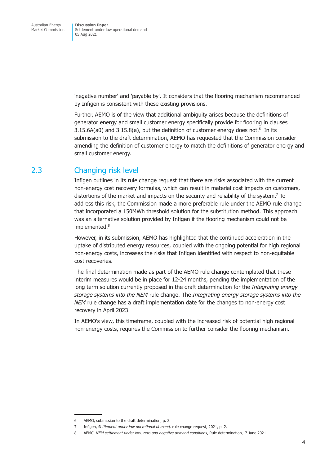<span id="page-6-0"></span>'negative number' and 'payable by'. It considers that the flooring mechanism recommended by Infigen is consistent with these existing provisions.

Further, AEMO is of the view that additional ambiguity arises because the definitions of generator energy and small customer energy specifically provide for flooring in clauses 3.15.6A(a0) and 3.15.8(a), but the definition of customer energy does not. $6$  In its submission to the draft determination, AEMO has requested that the Commission consider amending the definition of customer energy to match the definitions of generator energy and small customer energy.

#### 2.3 Changing risk level

Infigen outlines in its rule change request that there are risks associated with the current non-energy cost recovery formulas, which can result in material cost impacts on customers, distortions of the market and impacts on the security and reliability of the system.<sup>7</sup> To address this risk, the Commission made a more preferable rule under the AEMO rule change that incorporated a 150MWh threshold solution for the substitution method. This approach was an alternative solution provided by Infigen if the flooring mechanism could not be implemented.<sup>8</sup>

However, in its submission, AEMO has highlighted that the continued acceleration in the uptake of distributed energy resources, coupled with the ongoing potential for high regional non-energy costs, increases the risks that Infigen identified with respect to non-equitable cost recoveries.

The final determination made as part of the AEMO rule change contemplated that these interim measures would be in place for 12-24 months, pending the implementation of the long term solution currently proposed in the draft determination for the *Integrating energy storage systems into the NEM* rule change. The *Integrating energy storage systems into the NEM* rule change has a draft implementation date for the changes to non-energy cost recovery in April 2023.

In AEMO's view, this timeframe, coupled with the increased risk of potential high regional non-energy costs, requires the Commission to further consider the flooring mechanism.

П

<sup>6</sup> AEMO, submission to the draft determination, p. 2.

<sup>7</sup> Infigen, *Settlement under low operational demand,* rule change request, 2021, p. 2.

<sup>8</sup> AEMC, *NEM settlement under low, zero and negative demand conditions*, Rule determination, 17 June 2021.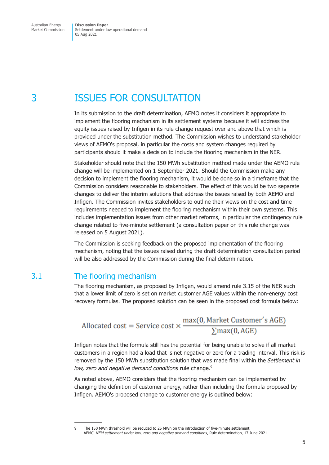# <span id="page-7-0"></span>3 ISSUES FOR CONSULTATION

In its submission to the draft determination, AEMO notes it considers it appropriate to implement the flooring mechanism in its settlement systems because it will address the equity issues raised by Infigen in its rule change request over and above that which is provided under the substitution method. The Commission wishes to understand stakeholder views of AEMO's proposal, in particular the costs and system changes required by participants should it make a decision to include the flooring mechanism in the NER.

Stakeholder should note that the 150 MWh substitution method made under the AEMO rule change will be implemented on 1 September 2021. Should the Commission make any decision to implement the flooring mechanism, it would be done so in a timeframe that the Commission considers reasonable to stakeholders. The effect of this would be two separate changes to deliver the interim solutions that address the issues raised by both AEMO and Infigen. The Commission invites stakeholders to outline their views on the cost and time requirements needed to implement the flooring mechanism within their own systems. This includes implementation issues from other market reforms, in particular the contingency rule change related to five-minute settlement (a consultation paper on this rule change was released on 5 August 2021).

The Commission is seeking feedback on the proposed implementation of the flooring mechanism, noting that the issues raised during the draft determination consultation period will be also addressed by the Commission during the final determination.

#### 3.1 The flooring mechanism

The flooring mechanism, as proposed by Infigen, would amend rule 3.15 of the NER such that a lower limit of zero is set on market customer AGE values within the non-energy cost recovery formulas. The proposed solution can be seen in the proposed cost formula below:

$$
\text{Allocated cost} = \text{Service cost} \times \frac{\max(0, \text{Market Customer's AGE})}{\sum \max(0, \text{AGE})}
$$

Infigen notes that the formula still has the potential for being unable to solve if all market customers in a region had a load that is net negative or zero for a trading interval. This risk is removed by the 150 MWh substitution solution that was made final within the *Settlement in* low, zero and negative demand conditions rule change.<sup>9</sup>

As noted above, AEMO considers that the flooring mechanism can be implemented by changing the definition of customer energy, rather than including the formula proposed by Infigen. AEMO's proposed change to customer energy is outlined below:

<span id="page-7-1"></span>т

<sup>9</sup> The 150 MWh threshold will be reduced to 25 MWh on the introduction of five-minute settlement. AEMC, *NEM settlement under low, zero and negative demand conditions*, Rule determination, 17 June 2021.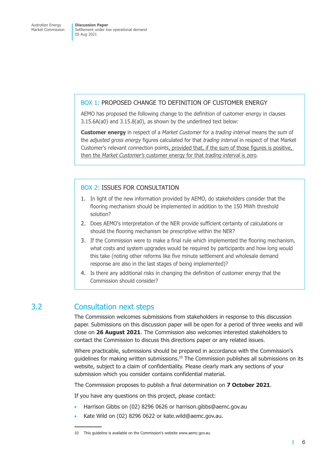#### BOX 1: PROPOSED CHANGE TO DEFINITION OF CUSTOMER ENERGY

AEMO has proposed the following change to the definition of customer energy in clauses 3.15.6A(a0) and 3.15.8(a0), as shown by the underlined text below:

**Customer energy** in respect of a *Market Customer* for a *trading interval* means the sum of the *adjusted gross energy* figures calculated for that *trading interval* in respect of that Market Customer's relevant connection points, provided that, if the sum of those figures is positive, then the *Market Customer's* customer energy for that *trading interval* is zero.

#### BOX 2: ISSUES FOR CONSULTATION

- 1. In light of the new information provided by AEMO, do stakeholders consider that the flooring mechanism should be implemented in addition to the 150 MWh threshold solution?
- 2. Does AEMO's interpretation of the NER provide sufficient certainty of calculations or should the flooring mechanism be prescriptive within the NER?
- 3. If the Commission were to make a final rule which implemented the flooring mechanism, what costs and system upgrades would be required by participants and how long would this take (noting other reforms like five minute settlement and wholesale demand response are also in the last stages of being implemented)?
- 4. Is there any additional risks in changing the definition of customer energy that the Commission should consider?

#### 3.2 Consultation next steps

The Commission welcomes submissions from stakeholders in response to this discussion paper. Submissions on this discussion paper will be open for a period of three weeks and will close on **26 August 2021**. The Commission also welcomes interested stakeholders to contact the Commission to discuss this directions paper or any related issues.

Where practicable, submissions should be prepared in accordance with the Commission's guidelines for making written submissions.10 The Commission publishes all submissions on its website, subject to a claim of confidentiality. Please clearly mark any sections of your submission which you consider contains confidential material.

The Commission proposes to publish a final determination on **7 October 2021**.

If you have any questions on this project, please contact:

- Harrison Gibbs on (02) 8296 0626 or harrison.gibbs@aemc.gov.au
- Kate Wild on (02) 8296 0622 or kate.wild@aemc.gov.au.

<sup>10</sup> This guideline is available on the Commission's website www.aemc.gov.au.